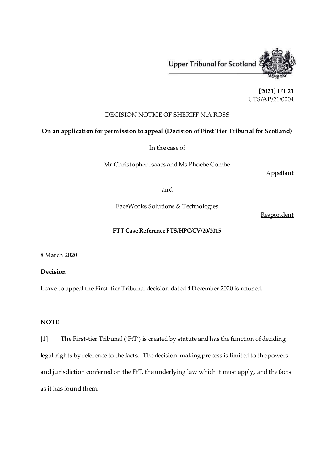

**[2021] UT 21** UTS/AP/21/0004

# DECISION NOTICE OF SHERIFF N.A ROSS

### **On an application for permission to appeal (Decision of First Tier Tribunal for Scotland)**

In the case of

Mr Christopher Isaacs and Ms Phoebe Combe

Appellant

#### and

FaceWorks Solutions & Technologies

**Respondent** 

## **FTT Case Reference FTS/HPC/CV/20/2015**

8 March 2020

## **Decision**

Leave to appeal the First-tier Tribunal decision dated 4 December 2020 is refused.

## **NOTE**

[1] The First-tier Tribunal ('FtT') is created by statute and has the function of deciding legal rights by reference to the facts. The decision-making process is limited to the powers and jurisdiction conferred on the FtT, the underlying law which it must apply, and the facts as it has found them.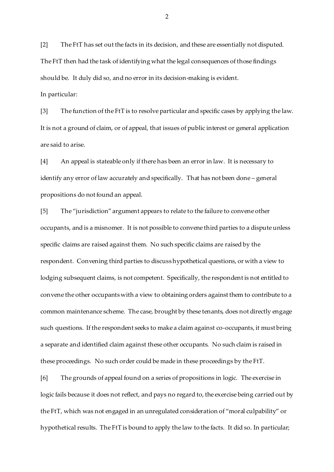[2] The FtT has set out the facts in its decision, and these are essentially not disputed. The FtT then had the task of identifying what the legal consequences of those findings should be. It duly did so, and no error in its decision-making is evident. In particular:

[3] The function of the FtT is to resolve particular and specific cases by applying the law. It is not a ground of claim, or of appeal, that issues of public interest or general application are said to arise.

[4] An appeal is stateable only if there has been an error in law. It is necessary to identify any error of law accurately and specifically. That has not been done – general propositions do not found an appeal.

[5] The "jurisdiction" argument appears to relate to the failure to convene other occupants, and is a misnomer. It is not possible to convene third parties to a dispute unless specific claims are raised against them. No such specific claims are raised by the respondent. Convening third parties to discuss hypothetical questions, or with a view to lodging subsequent claims, is not competent. Specifically, the respondent is not entitled to convene the other occupants with a view to obtaining orders against them to contribute to a common maintenance scheme. The case, brought by these tenants, does not directly engage such questions. If the respondent seeks to make a claim against co-occupants, it must bring a separate and identified claim against these other occupants. No such claim is raised in these proceedings. No such order could be made in these proceedings by the FtT.

[6] The grounds of appeal found on a series of propositions in logic. The exercise in logic fails because it does not reflect, and pays no regard to, the exercise being carried out by the FtT, which was not engaged in an unregulated consideration of "moral culpability" or hypothetical results. The FtT is bound to apply the law to the facts. It did so. In particular;

2